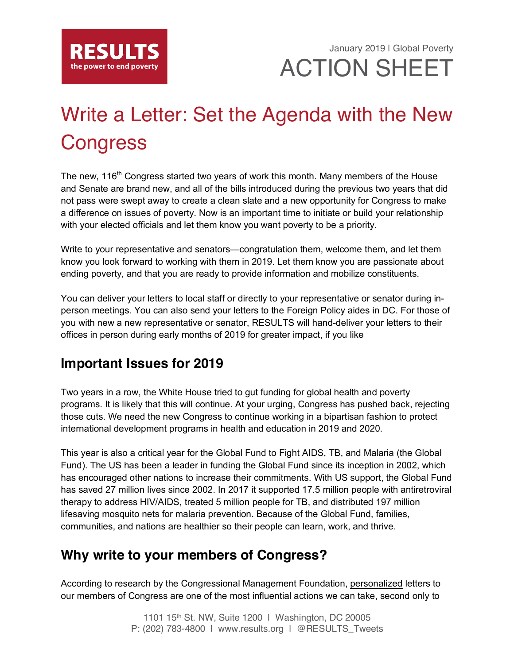

January 2019 | Global Poverty ACTION SHEET

# Write a Letter: Set the Agenda with the New **Congress**

The new, 116<sup>th</sup> Congress started two years of work this month. Many members of the House and Senate are brand new, and all of the bills introduced during the previous two years that did not pass were swept away to create a clean slate and a new opportunity for Congress to make a difference on issues of poverty. Now is an important time to initiate or build your relationship with your elected officials and let them know you want poverty to be a priority.

Write to your representative and senators—congratulation them, welcome them, and let them know you look forward to working with them in 2019. Let them know you are passionate about ending poverty, and that you are ready to provide information and mobilize constituents.

You can deliver your letters to local staff or directly to your representative or senator during inperson meetings. You can also send your letters to the Foreign Policy aides in DC. For those of you with new a new representative or senator, RESULTS will hand-deliver your letters to their offices in person during early months of 2019 for greater impact, if you like

### **Important Issues for 2019**

Two years in a row, the White House tried to gut funding for global health and poverty programs. It is likely that this will continue. At your urging, Congress has pushed back, rejecting those cuts. We need the new Congress to continue working in a bipartisan fashion to protect international development programs in health and education in 2019 and 2020.

This year is also a critical year for the Global Fund to Fight AIDS, TB, and Malaria (the Global Fund). The US has been a leader in funding the Global Fund since its inception in 2002, which has encouraged other nations to increase their commitments. With US support, the Global Fund has saved 27 million lives since 2002. In 2017 it supported 17.5 million people with antiretroviral therapy to address HIV/AIDS, treated 5 million people for TB, and distributed 197 million lifesaving mosquito nets for malaria prevention. Because of the Global Fund, families, communities, and nations are healthier so their people can learn, work, and thrive.

### **Why write to your members of Congress?**

According to research by the Congressional Management Foundation, personalized letters to our members of Congress are one of the most influential actions we can take, second only to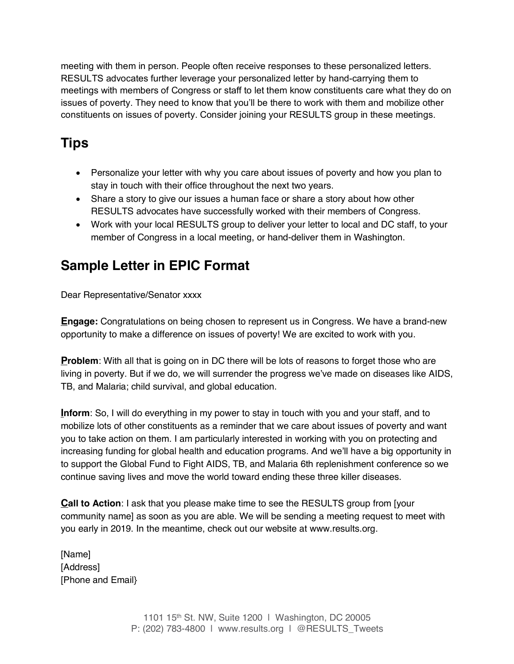meeting with them in person. People often receive responses to these personalized letters. RESULTS advocates further leverage your personalized letter by hand-carrying them to meetings with members of Congress or staff to let them know constituents care what they do on issues of poverty. They need to know that you'll be there to work with them and mobilize other constituents on issues of poverty. Consider joining your RESULTS group in these meetings.

# **Tips**

- Personalize your letter with why you care about issues of poverty and how you plan to stay in touch with their office throughout the next two years.
- Share a story to give our issues a human face or share a story about how other RESULTS advocates have successfully worked with their members of Congress.
- Work with your local RESULTS group to deliver your letter to local and DC staff, to your member of Congress in a local meeting, or hand-deliver them in Washington.

# **Sample Letter in EPIC Format**

Dear Representative/Senator xxxx

**Engage:** Congratulations on being chosen to represent us in Congress. We have a brand-new opportunity to make a difference on issues of poverty! We are excited to work with you.

**Problem:** With all that is going on in DC there will be lots of reasons to forget those who are living in poverty. But if we do, we will surrender the progress we've made on diseases like AIDS, TB, and Malaria; child survival, and global education.

**Inform**: So, I will do everything in my power to stay in touch with you and your staff, and to mobilize lots of other constituents as a reminder that we care about issues of poverty and want you to take action on them. I am particularly interested in working with you on protecting and increasing funding for global health and education programs. And we'll have a big opportunity in to support the Global Fund to Fight AIDS, TB, and Malaria 6th replenishment conference so we continue saving lives and move the world toward ending these three killer diseases.

**Call to Action**: I ask that you please make time to see the RESULTS group from [your community name] as soon as you are able. We will be sending a meeting request to meet with you early in 2019. In the meantime, check out our website at www.results.org.

[Name] [Address] [Phone and Email}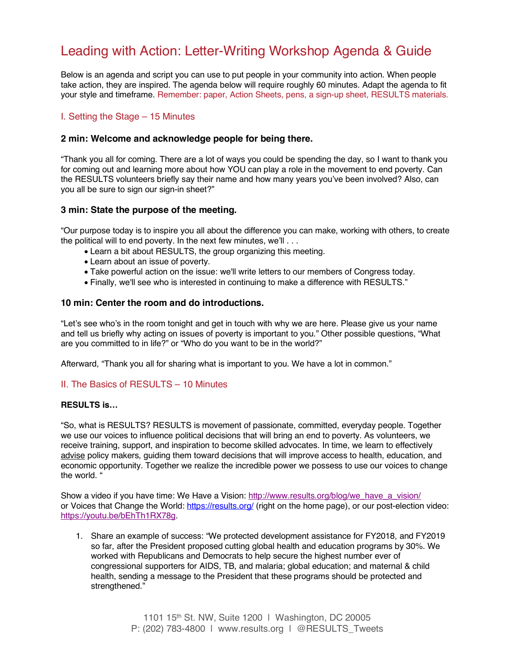## Leading with Action: Letter-Writing Workshop Agenda & Guide

Below is an agenda and script you can use to put people in your community into action. When people take action, they are inspired. The agenda below will require roughly 60 minutes. Adapt the agenda to fit your style and timeframe. Remember: paper, Action Sheets, pens, a sign-up sheet, RESULTS materials.

#### I. Setting the Stage – 15 Minutes

#### **2 min: Welcome and acknowledge people for being there.**

"Thank you all for coming. There are a lot of ways you could be spending the day, so I want to thank you for coming out and learning more about how YOU can play a role in the movement to end poverty. Can the RESULTS volunteers briefly say their name and how many years you've been involved? Also, can you all be sure to sign our sign-in sheet?"

#### **3 min: State the purpose of the meeting.**

"Our purpose today is to inspire you all about the difference you can make, working with others, to create the political will to end poverty. In the next few minutes, we'll . . .

- Learn a bit about RESULTS, the group organizing this meeting.
- Learn about an issue of poverty.
- Take powerful action on the issue: we'll write letters to our members of Congress today.
- Finally, we'll see who is interested in continuing to make a difference with RESULTS."

#### **10 min: Center the room and do introductions.**

"Let's see who's in the room tonight and get in touch with why we are here. Please give us your name and tell us briefly why acting on issues of poverty is important to you." Other possible questions, "What are you committed to in life?" or "Who do you want to be in the world?"

Afterward, "Thank you all for sharing what is important to you. We have a lot in common."

#### II. The Basics of RESULTS – 10 Minutes

#### **RESULTS is…**

"So, what is RESULTS? RESULTS is movement of passionate, committed, everyday people. Together we use our voices to influence political decisions that will bring an end to poverty. As volunteers, we receive training, support, and inspiration to become skilled advocates. In time, we learn to effectively advise policy makers, guiding them toward decisions that will improve access to health, education, and economic opportunity. Together we realize the incredible power we possess to use our voices to change the world. "

Show a video if you have time: We Have a Vision: http://www.results.org/blog/we\_have\_a\_vision/ or Voices that Change the World: https://results.org/ (right on the home page), or our post-election video: https://youtu.be/bEhTh1RX78g.

1. Share an example of success: "We protected development assistance for FY2018, and FY2019 so far, after the President proposed cutting global health and education programs by 30%. We worked with Republicans and Democrats to help secure the highest number ever of congressional supporters for AIDS, TB, and malaria; global education; and maternal & child health, sending a message to the President that these programs should be protected and strengthened."